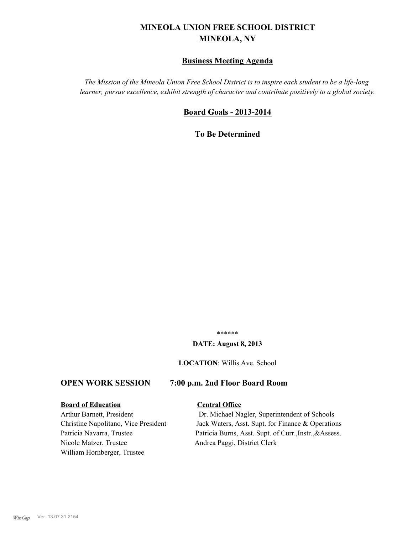# **MINEOLA UNION FREE SCHOOL DISTRICT MINEOLA, NY**

## **Business Meeting Agenda**

*The Mission of the Mineola Union Free School District is to inspire each student to be a life-long learner, pursue excellence, exhibit strength of character and contribute positively to a global society.*

#### **Board Goals - 2013-2014**

**To Be Determined**

\*\*\*\*\*\*

#### **DATE: August 8, 2013**

**LOCATION**: Willis Ave. School

#### **OPEN WORK SESSION 7:00 p.m. 2nd Floor Board Room**

#### **Board of Education Central Office**

Nicole Matzer, Trustee Andrea Paggi, District Clerk William Hornberger, Trustee

Arthur Barnett, President Dr. Michael Nagler, Superintendent of Schools Christine Napolitano, Vice President Jack Waters, Asst. Supt. for Finance & Operations Patricia Navarra, Trustee Patricia Burns, Asst. Supt. of Curr., Instr., &Assess.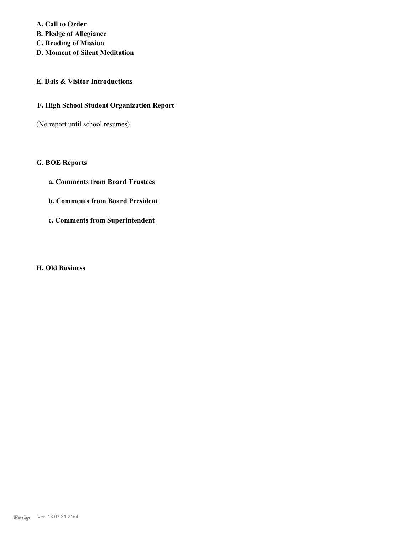**A. Call to Order B. Pledge of Allegiance C. Reading of Mission D. Moment of Silent Meditation**

## **E. Dais & Visitor Introductions**

#### **F. High School Student Organization Report**

(No report until school resumes)

#### **G. BOE Reports**

- **a. Comments from Board Trustees**
- **b. Comments from Board President**
- **c. Comments from Superintendent**

#### **H. Old Business**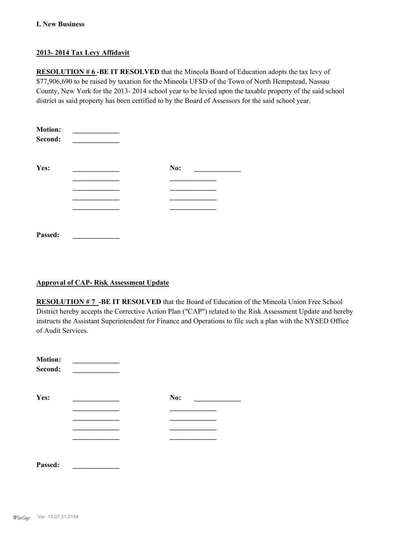#### **I. New Business**

#### **2013- 2014 Tax Levy Affidavit**

**RESOLUTION # 6-BE IT RESOLVED** that the Mineola Board of Education adopts the tax levy of \$77,906,690 to be raised by taxation for the Mineola UFSD of the Town of North Hempstead, Nassau County, New York for the 2013- 2014 school year to be levied upon the taxable property of the said school district as said property has been certified to by the Board of Assessors for the said school year.

| <b>Motion:</b><br>Second: |     |
|---------------------------|-----|
| Yes:                      | No: |
|                           |     |
|                           |     |
|                           |     |
|                           |     |
| Passed:                   |     |

#### **Approval of CAP- Risk Assessment Update**

**RESOLUTION # 7 -BE IT RESOLVED** that the Board of Education of the Mineola Union Free School District hereby accepts the Corrective Action Plan ("CAP") related to the Risk Assessment Update and hereby instructs the Assistant Superintendent for Finance and Operations to file such a plan with the NYSED Office of Audit Services.

| <b>Motion:</b><br>Second: |     |  |
|---------------------------|-----|--|
| Yes:                      | No: |  |
|                           |     |  |
|                           |     |  |
|                           |     |  |
|                           |     |  |

**Passed: \_\_\_\_\_\_\_\_\_\_\_\_\_**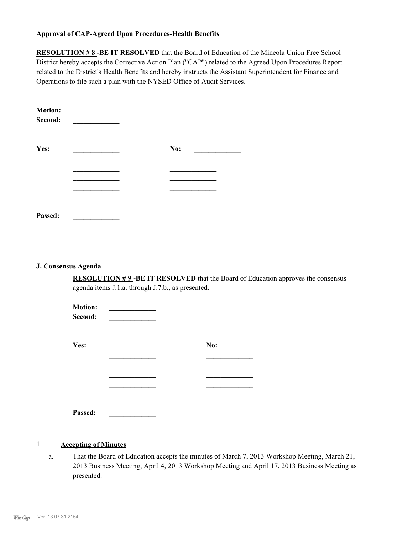#### **Approval of CAP-Agreed Upon Procedures-Health Benefits**

**RESOLUTION # 8-BE IT RESOLVED** that the Board of Education of the Mineola Union Free School District hereby accepts the Corrective Action Plan ("CAP") related to the Agreed Upon Procedures Report related to the District's Health Benefits and hereby instructs the Assistant Superintendent for Finance and Operations to file such a plan with the NYSED Office of Audit Services.

| <b>Motion:</b><br>Second: |     |
|---------------------------|-----|
| Yes:                      | No: |
|                           |     |
|                           |     |
|                           |     |
|                           |     |
|                           |     |
| Passed:                   |     |

#### **J. Consensus Agenda**

**RESOLUTION # 9 -BE IT RESOLVED** that the Board of Education approves the consensus agenda items J.1.a. through J.7.b., as presented.

| <b>Motion:</b><br>Second: |     |
|---------------------------|-----|
| Yes:                      | No: |
|                           |     |
|                           |     |
|                           |     |
|                           |     |
| Passed:                   |     |

#### 1. **Accepting of Minutes**

That the Board of Education accepts the minutes of March 7, 2013 Workshop Meeting, March 21, 2013 Business Meeting, April 4, 2013 Workshop Meeting and April 17, 2013 Business Meeting as presented. a.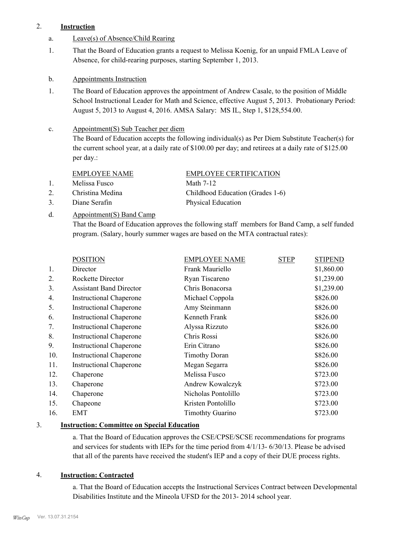#### 2. **Instruction**

- a. Leave(s) of Absence/Child Rearing
- That the Board of Education grants a request to Melissa Koenig, for an unpaid FMLA Leave of Absence, for child-rearing purposes, starting September 1, 2013. 1.
- b. Appointments Instruction
- The Board of Education approves the appointment of Andrew Casale, to the position of Middle School Instructional Leader for Math and Science, effective August 5, 2013. Probationary Period: August 5, 2013 to August 4, 2016. AMSA Salary: MS IL, Step 1, \$128,554.00. 1.

#### Appointment(S) Sub Teacher per diem c.

The Board of Education accepts the following individual(s) as Per Diem Substitute Teacher(s) for the current school year, at a daily rate of \$100.00 per day; and retirees at a daily rate of \$125.00 per day.:

#### EMPLOYEE NAME EMPLOYEE CERTIFICATION

1. Melissa Fusco Math 7-12

3. Diane Serafin Physical Education

# 2. Christina Medina Childhood Education (Grades 1-6)

#### Appointment(S) Band Camp d.

That the Board of Education approves the following staff members for Band Camp, a self funded program. (Salary, hourly summer wages are based on the MTA contractual rates):

|     | <b>POSITION</b>                | <b>EMPLOYEE NAME</b>    | <b>STEP</b> | <b>STIPEND</b> |
|-----|--------------------------------|-------------------------|-------------|----------------|
| 1.  | Director                       | Frank Mauriello         |             | \$1,860.00     |
| 2.  | Rockette Director              | Ryan Tiscareno          |             | \$1,239.00     |
| 3.  | <b>Assistant Band Director</b> | Chris Bonacorsa         |             | \$1,239.00     |
| 4.  | <b>Instructional Chaperone</b> | Michael Coppola         |             | \$826.00       |
| 5.  | <b>Instructional Chaperone</b> | Amy Steinmann           |             | \$826.00       |
| 6.  | <b>Instructional Chaperone</b> | Kenneth Frank           |             | \$826.00       |
| 7.  | <b>Instructional Chaperone</b> | Alyssa Rizzuto          |             | \$826.00       |
| 8.  | <b>Instructional Chaperone</b> | Chris Rossi             |             | \$826.00       |
| 9.  | <b>Instructional Chaperone</b> | Erin Citrano            |             | \$826.00       |
| 10. | <b>Instructional Chaperone</b> | <b>Timothy Doran</b>    |             | \$826.00       |
| 11. | <b>Instructional Chaperone</b> | Megan Segarra           |             | \$826.00       |
| 12. | Chaperone                      | Melissa Fusco           |             | \$723.00       |
| 13. | Chaperone                      | Andrew Kowalczyk        |             | \$723.00       |
| 14. | Chaperone                      | Nicholas Pontolillo     |             | \$723.00       |
| 15. | Chapeone                       | Kristen Pontolillo      |             | \$723.00       |
| 16. | EMT                            | <b>Timothty Guarino</b> |             | \$723.00       |
|     |                                |                         |             |                |

#### 3. **Instruction: Committee on Special Education**

a. That the Board of Education approves the CSE/CPSE/SCSE recommendations for programs and services for students with IEPs for the time period from 4/1/13- 6/30/13. Please be advised that all of the parents have received the student's IEP and a copy of their DUE process rights.

#### 4. **Instruction: Contracted**

a. That the Board of Education accepts the Instructional Services Contract between Developmental Disabilities Institute and the Mineola UFSD for the 2013- 2014 school year.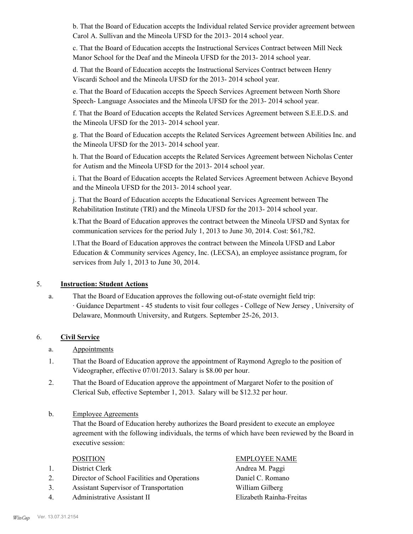b. That the Board of Education accepts the Individual related Service provider agreement between Carol A. Sullivan and the Mineola UFSD for the 2013- 2014 school year.

c. That the Board of Education accepts the Instructional Services Contract between Mill Neck Manor School for the Deaf and the Mineola UFSD for the 2013- 2014 school year.

d. That the Board of Education accepts the Instructional Services Contract between Henry Viscardi School and the Mineola UFSD for the 2013- 2014 school year.

e. That the Board of Education accepts the Speech Services Agreement between North Shore Speech- Language Associates and the Mineola UFSD for the 2013- 2014 school year.

f. That the Board of Education accepts the Related Services Agreement between S.E.E.D.S. and the Mineola UFSD for the 2013- 2014 school year.

g. That the Board of Education accepts the Related Services Agreement between Abilities Inc. and the Mineola UFSD for the 2013- 2014 school year.

h. That the Board of Education accepts the Related Services Agreement between Nicholas Center for Autism and the Mineola UFSD for the 2013- 2014 school year.

i. That the Board of Education accepts the Related Services Agreement between Achieve Beyond and the Mineola UFSD for the 2013- 2014 school year.

j. That the Board of Education accepts the Educational Services Agreement between The Rehabilitation Institute (TRI) and the Mineola UFSD for the 2013- 2014 school year.

k.That the Board of Education approves the contract between the Mineola UFSD and Syntax for communication services for the period July 1, 2013 to June 30, 2014. Cost: \$61,782.

l.That the Board of Education approves the contract between the Mineola UFSD and Labor Education & Community services Agency, Inc. (LECSA), an employee assistance program, for services from July 1, 2013 to June 30, 2014.

#### 5. **Instruction: Student Actions**

That the Board of Education approves the following out-of-state overnight field trip: · Guidance Department - 45 students to visit four colleges - College of New Jersey , University of Delaware, Monmouth University, and Rutgers. September 25-26, 2013. a.

#### 6. **Civil Service**

- a. Appointments
- That the Board of Education approve the appointment of Raymond Agreglo to the position of Videographer, effective 07/01/2013. Salary is \$8.00 per hour. 1.
- That the Board of Education approve the appointment of Margaret Nofer to the position of Clerical Sub, effective September 1, 2013. Salary will be \$12.32 per hour. 2.
- Employee Agreements b.

That the Board of Education hereby authorizes the Board president to execute an employee agreement with the following individuals, the terms of which have been reviewed by the Board in executive session:

- 1. District Clerk **Andrea M. Paggi**
- 2. Director of School Facilities and Operations Daniel C. Romano
- 3. Assistant Supervisor of Transportation William Gilberg
- 4. Administrative Assistant II Elizabeth Rainha-Freitas

## POSITION EMPLOYEE NAME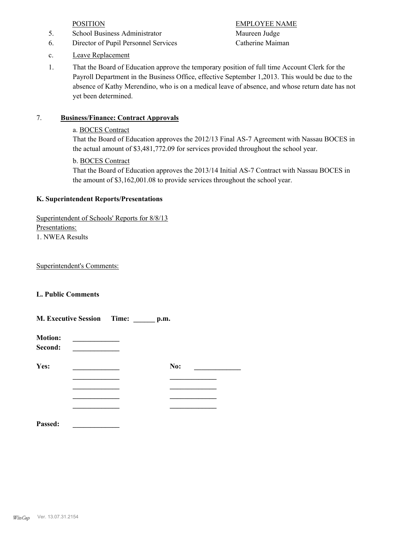- 5. School Business Administrator Maureen Judge
- 6. Director of Pupil Personnel Services Catherine Maiman

POSITION EMPLOYEE NAME

- c. Leave Replacement
- That the Board of Education approve the temporary position of full time Account Clerk for the Payroll Department in the Business Office, effective September 1,2013. This would be due to the absence of Kathy Merendino, who is on a medical leave of absence, and whose return date has not yet been determined. 1.

## 7. **Business/Finance: Contract Approvals**

#### a. BOCES Contract

That the Board of Education approves the 2012/13 Final AS-7 Agreement with Nassau BOCES in the actual amount of \$3,481,772.09 for services provided throughout the school year.

## b. BOCES Contract

That the Board of Education approves the 2013/14 Initial AS-7 Contract with Nassau BOCES in the amount of \$3,162,001.08 to provide services throughout the school year.

#### **K. Superintendent Reports/Presentations**

Superintendent of Schools' Reports for 8/8/13 Presentations: 1. NWEA Results

Superintendent's Comments:

#### **L. Public Comments**

|                           | <b>M. Executive Session</b> Time: | $\mathbf{p}.\mathbf{m}$ . |  |
|---------------------------|-----------------------------------|---------------------------|--|
| <b>Motion:</b><br>Second: |                                   |                           |  |
| Yes:                      |                                   | No:                       |  |
|                           |                                   |                           |  |
|                           |                                   |                           |  |
| Passed:                   |                                   |                           |  |